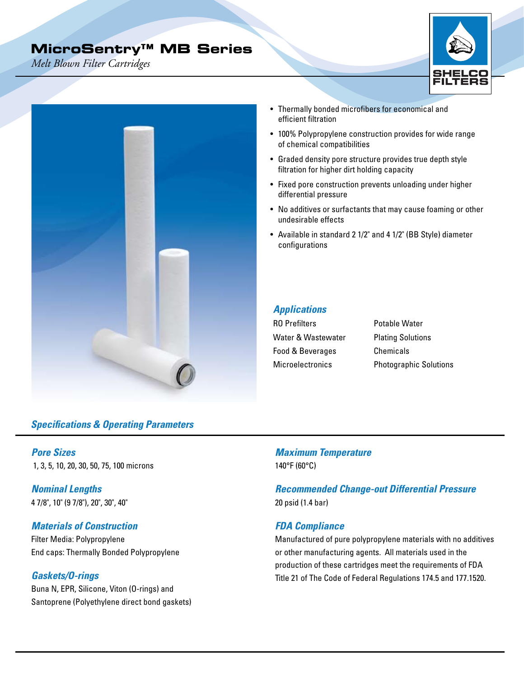# **MicroSentry™ MB Series**

*Melt Blown Filter Cartridges*



## *Specifications & Operating Parameters*

*Pore Sizes*  1, 3, 5, 10, 20, 30, 50, 75, 100 microns

*Nominal Lengths*  4 7/8", 10" (9 7/8"), 20", 30", 40"

#### *Materials of Construction*

Filter Media: Polypropylene End caps: Thermally Bonded Polypropylene

#### *Gaskets/O-rings*

Buna N, EPR, Silicone, Viton (O-rings) and Santoprene (Polyethylene direct bond gaskets)

- Thermally bonded microfibers for economical and efficient filtration
- 100% Polypropylene construction provides for wide range of chemical compatibilities
- Graded density pore structure provides true depth style filtration for higher dirt holding capacity
- Fixed pore construction prevents unloading under higher differential pressure
- No additives or surfactants that may cause foaming or other undesirable effects
- Available in standard 2 1/2" and 4 1/2" (BB Style) diameter configurations

#### *Applications*

| <b>RO</b> Prefilters    | Potable Water                 |
|-------------------------|-------------------------------|
| Water & Wastewater      | <b>Plating Solutions</b>      |
| Food & Beverages        | Chemicals                     |
| <b>Microelectronics</b> | <b>Photographic Solutions</b> |

*Maximum Temperature* 140°F (60°C)

*Recommended Change-out Differential Pressure*  20 psid (1.4 bar)

#### *FDA Compliance*

Manufactured of pure polypropylene materials with no additives or other manufacturing agents. All materials used in the production of these cartridges meet the requirements of FDA Title 21 of The Code of Federal Regulations 174.5 and 177.1520.